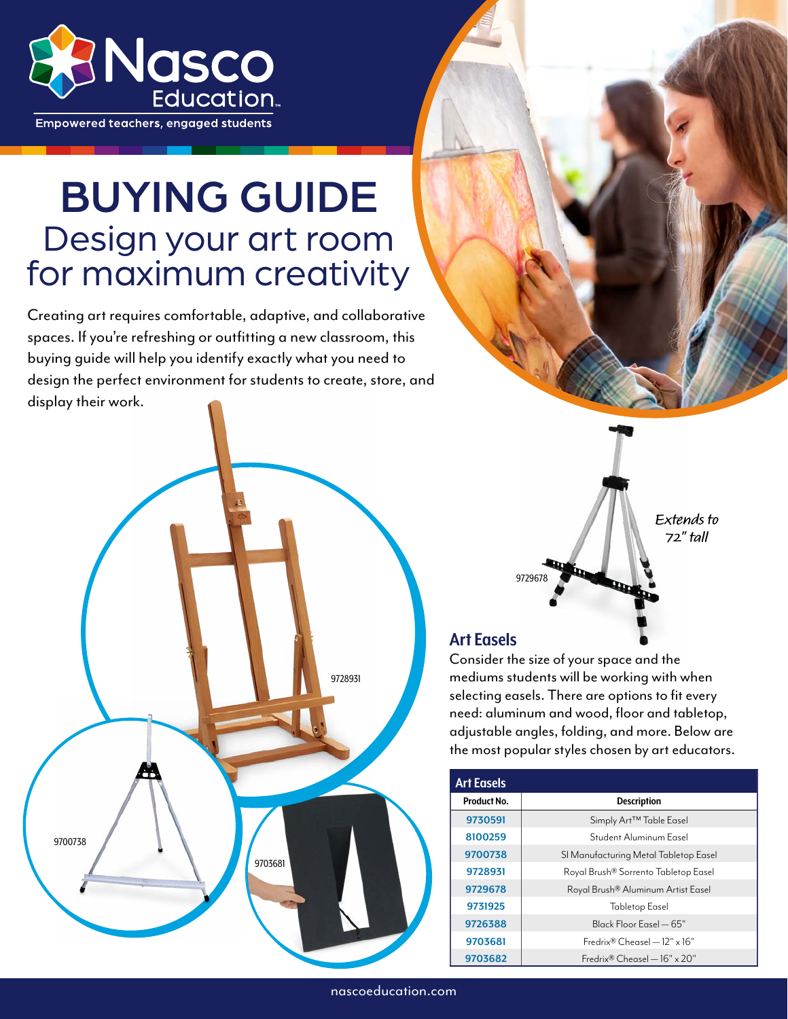

**Empowered teachers, engaged students** 

# BUYING GUIDE Design your art room for maximum creativity

Creating art requires comfortable, adaptive, and collaborative spaces. If you're refreshing or outfitting a new classroom, this buying guide will help you identify exactly what you need to design the perfect environment for students to create, store, and display their work.





**Extends to 72" tall**

### **Art Easels**

[9729678](https://www.enasco.com/p/9729678)

Consider the size of your space and the mediums students will be working with when selecting easels. There are options to fit every need: aluminum and wood, floor and tabletop, adjustable angles, folding, and more. Below are the most popular styles chosen by art educators.

| <b>Art Easels</b> |                                                |
|-------------------|------------------------------------------------|
| Product No.       | <b>Description</b>                             |
| 9730591           | Simply Art <sup>™</sup> Table Easel            |
| 8100259           | Student Aluminum Easel                         |
| 9700738           | SI Manufacturing Metal Tabletop Easel          |
| 9728931           | Royal Brush® Sorrento Tabletop Easel           |
| 9729678           | Royal Brush® Aluminum Artist Easel             |
| 9731925           | <b>Tabletop Easel</b>                          |
| 9726388           | Black Floor Easel — 65"                        |
| 9703681           | $Fredrix® Chensel = 12" x 16"$                 |
| 9703682           | Fredrix <sup>®</sup> Cheasel $-16" \times 20"$ |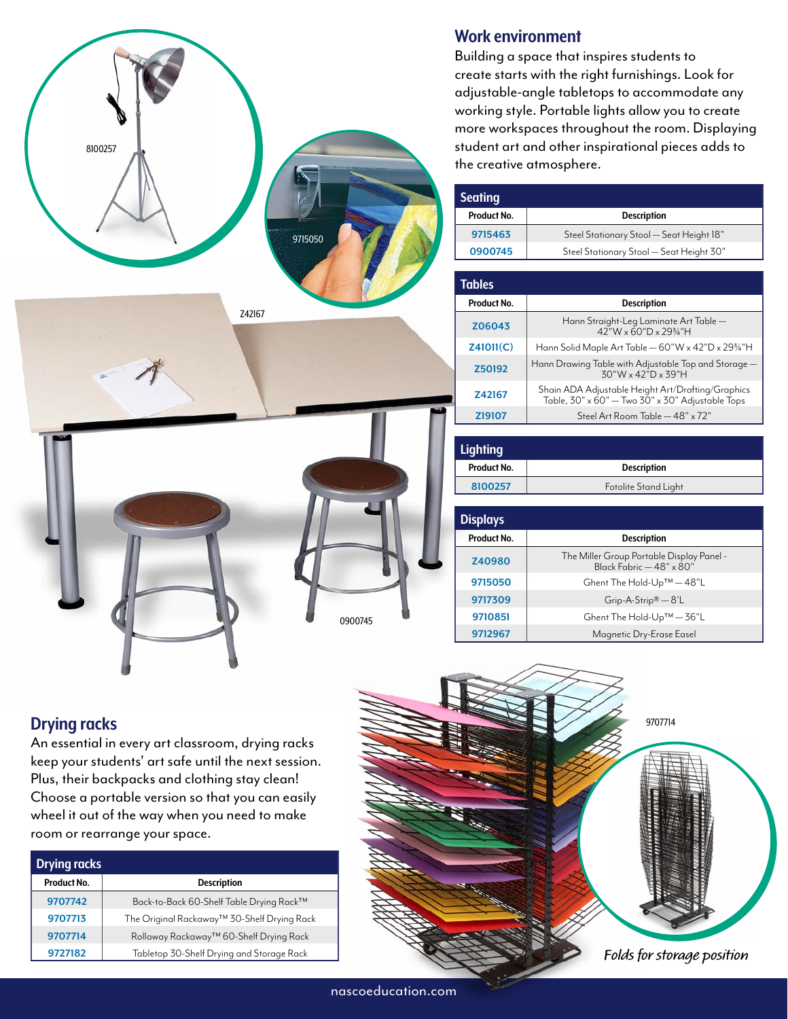

## **Work environment**

Building a space that inspires students to create starts with the right furnishings. Look for adjustable-angle tabletops to accommodate any working style. Portable lights allow you to create more workspaces throughout the room. Displaying student art and other inspirational pieces adds to the creative atmosphere.

| <b>Seating</b> |                                          |
|----------------|------------------------------------------|
| Product No.    | <b>Description</b>                       |
| 9715463        | Steel Stationary Stool - Seat Height 18" |
| 0900745        | Steel Stationary Stool - Seat Height 30" |

| <b>Tables</b> |                                                                                                       |
|---------------|-------------------------------------------------------------------------------------------------------|
| Product No.   | <b>Description</b>                                                                                    |
| Z06043        | Hann Straight-Leg Laminate Art Table -<br>$42"W \times 60"D \times 29\frac{3}{4"H}$                   |
| Z41011(C)     | Hann Solid Maple Art Table — 60"W x 42"D x 29¾"H                                                      |
| Z50192        | Hann Drawing Table with Adjustable Top and Storage —<br>30"W x 42"D x 39"H                            |
| <b>Z42167</b> | Shain ADA Adjustable Height Art/Drafting/Graphics<br>Table, 30" x 60" - Two 30" x 30" Adjustable Tops |
| <b>Z19107</b> | Steel Art Room Table - 48" x 72"                                                                      |

| <b>Lighting</b> |                      |
|-----------------|----------------------|
| Product No.     | <b>Description</b>   |
| 8100257         | Fotolite Stand Light |

| <b>Displays</b> |                                                                       |
|-----------------|-----------------------------------------------------------------------|
| Product No.     | <b>Description</b>                                                    |
| Z40980          | The Miller Group Portable Display Panel -<br>Black Fabric - 48" x 80" |
| 9715050         | Ghent The Hold-Up™ - 48"L                                             |
| 9717309         | $Grip-A-Strip® - 8'L$                                                 |
| 9710851         | Ghent The Hold-Up™ - 36"L                                             |
| 9712967         | Magnetic Dry-Erase Easel                                              |



# **Drying racks**

An essential in every art classroom, drying racks keep your students' art safe until the next session. Plus, their backpacks and clothing stay clean! Choose a portable version so that you can easily wheel it out of the way when you need to make room or rearrange your space.

| <b>Drying racks</b> |                                             |
|---------------------|---------------------------------------------|
| Product No.         | <b>Description</b>                          |
| 9707742             | Back-to-Back 60-Shelf Table Drying Rack™    |
| 9707713             | The Original Rackaway™ 30-Shelf Drying Rack |
| 9707714             | Rollaway Rackaway™ 60-Shelf Drying Rack     |
| 9727182             | Tabletop 30-Shelf Drying and Storage Rack   |